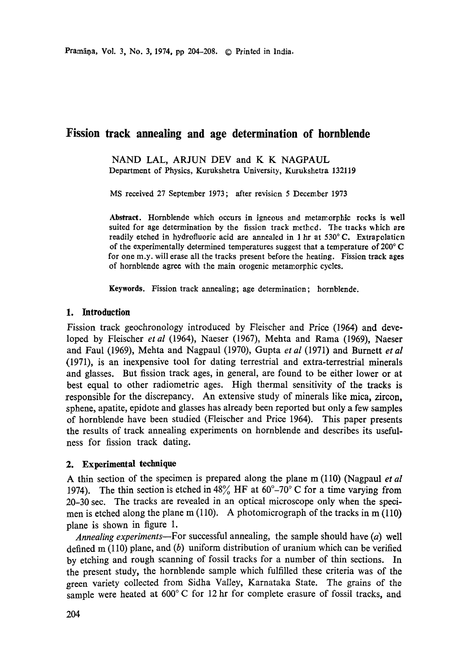# **Fission track annealing and age determination of hornblende**

NAND LAL, ARJUN *DEV* and K K NAGPAUL Department of Physics, Kurukshetra University, Kurukshetra 132119

MS received 27 September 1973; after revision 5 December 1973

Abstract. Hornblende which occurs in igneous and metamorphic rocks is well suited for age determination by the fission track method. The tracks which are readily etched in hydrofluoric acid are annealed in 1 hr at  $530^{\circ}$ C. Extrapolaticn of the experimentally determined temperatures suggest that a temperature of 200° C for one m.y. will erase all the tracks present before the heating. Fission track **ages**  of hornblende agree with the main orogenic metamorphic cycles.

**Keywords.** Fission track annealing, age determination; hornblende.

# **1. Introduction**

Fission track geochronology introduced by Fleischer and Price (1964) and developed by Fleischer *et al* (1964), Naeser (1967), Mehta and Rama (1969), Naeser and Faul (1969), Mehta and Nagpaul (1970), Gupta *et al* (1971) and Burnett *et al*  (1970, is an inexpensive tool for dating terrestrial and extra-terrestrial minerals and glasses. But fission track ages, in general, are found to be either lower or at best equal to other radiometric ages. High thermal sensitivity of the tracks is responsible for the discrepancy. An extensive study of minerals like mica, zircon, sphene, apatite, epidote and glasses has already been reported but only a few samples of hornblende have been studied (Fleischer and Price 1964). This paper presents the results of track annealing experiments on hornblende and describes its usefulness for fission track dating.

#### **2. Experimental technique**

A thin section of the specimen is prepared along the plane m (110) (Nagpaul *et al*  1974). The thin section is etched in  $48\%$  HF at  $60^{\circ}$ –70° C for a time varying from 20-30 sec. The tracks are revealed in an optical microscope only when the specimen is etched along the plane m (110). A photomicrograph of the tracks in m (110) plane is shown in figure 1.

*Annealing experiments--For* successful annealing, the sample should have (a) well defined  $m(110)$  plane, and  $(b)$  uniform distribution of uranium which can be verified by etching and rough scanning of fossil tracks for a number of thin sections. In the present study, the hornblende sample which fulfilled these criteria was of the green variety collected from Sidha Valley, Karnataka State. The grains of the sample were heated at 600°C for 12 hr for complete erasure of fossil tracks, and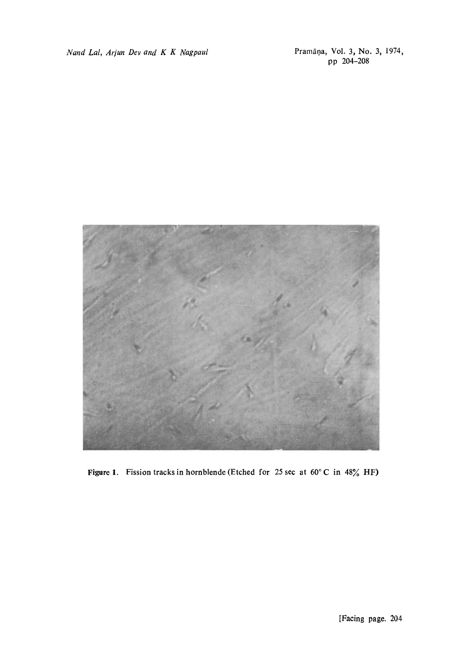*Nand Lal, Arjun Dev and K K Nagpaul* 

Pramāņa, Vol. 3, No. 3, 1974,<br>pp 204-208



Figure 1. Fission tracks in hornblende (Etched for 25 sec at  $60^{\circ}$ C in  $48\%$  HF)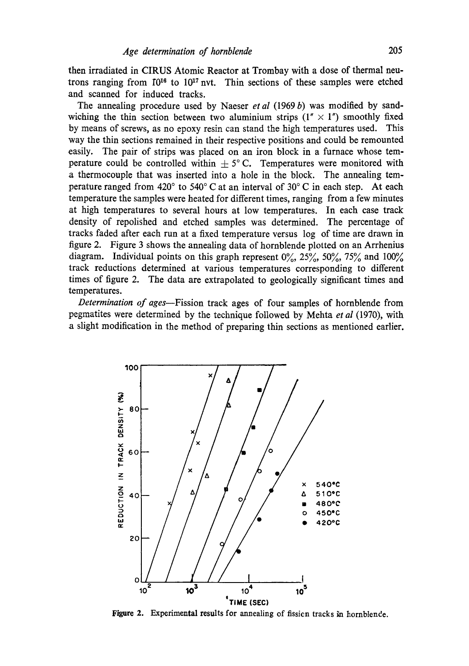then irradiated in CIRUS Atomic Reactor at Trombay with a dose of thermal neutrons ranging from  $10^{16}$  to  $10^{17}$  nvt. Thin sections of these samples were etched and scanned for induced tracks.

The annealing procedure used by Naeser *et al* (1969 b) was modified by sandwiching the thin section between two aluminium strips  $(1'' \times 1'')$  smoothly fixed by means of screws, as no epoxy resin can stand the high temperatures used. This way the thin sections remained in their respective positions and could be remounted easily. The pair of strips was placed on an iron block in a furnace whose temperature could be controlled within  $\pm$  5° C. Temperatures were monitored with a thermocouple that was inserted into a hole in the block. The annealing temperature ranged from 420 $^{\circ}$  to 540 $^{\circ}$  C at an interval of 30 $^{\circ}$  C in each step. At each temperature the samples were heated for different times, ranging from a few minutes at high temperatures to several hours at low temperatures. In each case track density of repolished and etched samples was determined. The percentage of tracks faded after each run at a fixed temperature versus log of time are drawn in figure 2. Figure 3 shows the annealing data of hornblende plotted on an Arrhenius diagram. Individual points on this graph represent  $0\%$ ,  $25\%$ ,  $50\%$ ,  $75\%$  and  $100\%$ track reductions determined at various temperatures corresponding to different times of figure 2. The data are extrapolated to geologically significant times and temperatures.

*Determination of ages--Fission* track ages of four samples of hornblende from pegmatites were determined by the technique followed by Mehta *et al* (1970), with a slight modification in the method of preparing thin sections as mentioned earlier.



Figure 2. Experimental results for annealing of fission tracks in hornblende.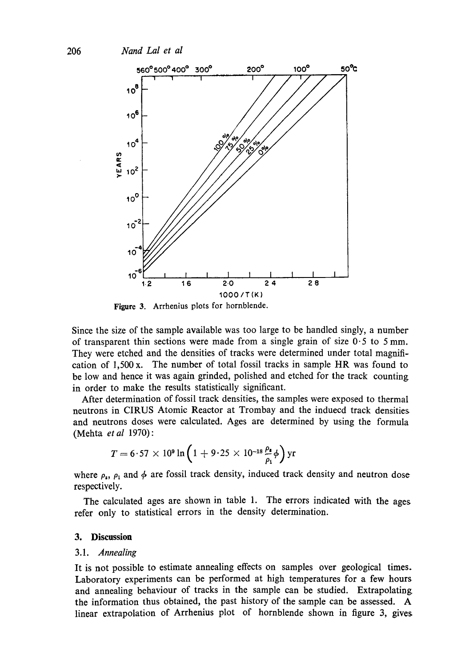

Figure 3. Arrhenius plots for hornblende.

Since the size of the sample available was too large to be handled singly, a number of transparent thin sections were made from a single grain of size  $0.5$  to 5 mm. They were etched and the densities of tracks were determined under total magnification of 1,500 x. The number of total fossil tracks in sample HR was found to be low and hence it was again grinded, polished and etched for the track counting in order to make the results statistically significant.

After determination of fossil track densities, the samples were exposed to thermal neutrons in CIRUS Atomic Reactor at Trombay and the induecd track densities and neutrons doses were calculated. Ages are determined by using the formula (Mehta *et al* 1970) :

$$
T = 6.57 \times 10^9 \ln \left( 1 + 9.25 \times 10^{-18} \frac{\rho_{\text{s}}}{\rho_{\text{i}}} \phi \right) \text{yr}
$$

where  $\rho_s$ ,  $\rho_1$  and  $\phi$  are fossil track density, induced track density and neutron dose respectively.

The calculated ages are shown in table 1. The errors indicated with the ages refer only to statistical errors in the density determination.

#### **3. Discussion**

#### 3.1. *Annealing*

It is not possible to estimate annealing effects on samples over geological times. Laboratory experiments can be performed at high temperatures for a few hours and annealing behaviour of tracks in the sample can be studied. Extrapolating the information thus obtained, the past history of the sample can be assessed. A linear extrapolation of Arrhenius plot of hornblende shown in figure 3, gives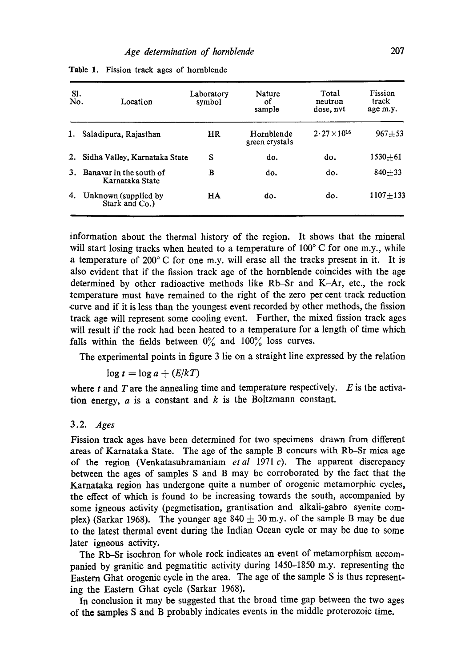| SI.<br>No. | Location                                   | Laboratory<br>symbol | Nature<br>οf<br>sample       | Total<br>neutron<br>dose, nyt | Fission<br>track<br>age m.y. |
|------------|--------------------------------------------|----------------------|------------------------------|-------------------------------|------------------------------|
| 1.         | Saladipura, Rajasthan                      | HR                   | Hornblende<br>green crystals | $2.27\times10^{16}$           | $967 + 53$                   |
| 2.         | Sidha Valley, Karnataka State              | S                    | do.                          | do.                           | $1530 + 61$                  |
| 3.         | Banavar in the south of<br>Karnataka State | в                    | do.                          | do.                           | $840 + 33$                   |
| 4.         | Unknown (supplied by<br>Stark and Co.)     | HA                   | do.                          | do.                           | $1107 + 133$                 |

Table 1. Fission track ages of hornblende

information about the thermal history of the region. It shows that the mineral will start losing tracks when heated to a temperature of  $100^{\circ}$  C for one m.y., while a temperature of 200° C for one m.y. will erase all the tracks present in it. It is also evident that if the fission track age of the hornblende coincides with the age determined by other radioactive methods like Rb-Sr and K-Ar, etc., the rock temperature must have remained to the right of the zero per cent track reduction curve and if it is less than the youngest event recorded by other methods, the fission track age will represent some cooling event. Further, the mixed fission track ages will result if the rock had been heated to a temperature for a length of time which falls within the fields between  $0\%$  and  $100\%$  loss curves.

The experimental points in figure 3 lie on a straight line expressed by the relation

 $\log t = \log a + (E/kT)$ 

where  $t$  and  $T$  are the annealing time and temperature respectively.  $E$  is the activation energy,  $a$  is a constant and  $k$  is the Boltzmann constant.

#### 3.2. *Ages*

Fission track ages have been determined for two specimens drawn from different areas of Karnataka State. The age of the sample B concurs with Rb-Sr mica age of the region (Venkatasubramaniam *etal* 1971 c). The apparent discrepancy between the ages of samples S and B may be corroborated by the fact that the Karnataka region has undergone quite a number of orogenic metamorphic cycles, the effect of which is found to be increasing towards the south, accompanied by some igneous activity (pegmetisation, grantisation and alkali-gabro syenite complex) (Sarkar 1968). The younger age  $840 \pm 30$  m.y. of the sample B may be due to the latest thermal event during the Indian Ocean cycle or may be due to some later igneous activity.

The Rb-Sr isochron for whole rock indicates an event of metamorphism accompanied by granitic and pegmatitic activity during 1450-1850 m.y. representing the Eastern Ghat orogenic cycle in the area. The age of the sample S is thus representing the Eastern Ghat cycle (Sarkar 1968).

In conclusion it may be suggested that the broad time gap between the two ages of tho samples S and B probably indicates events in the middle proterozoic time.